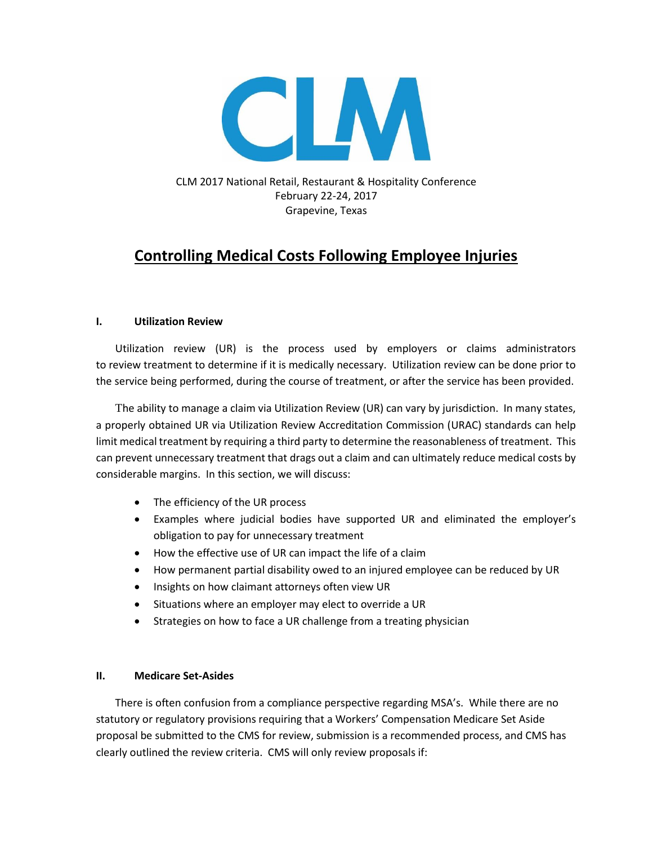

CLM 2017 National Retail, Restaurant & Hospitality Conference February 22-24, 2017 Grapevine, Texas

# **Controlling Medical Costs Following Employee Injuries**

## **I. Utilization Review**

Utilization review (UR) is the process used by employers or claims administrators to review treatment to determine if it is medically necessary. Utilization review can be done prior to the service being performed, during the course of treatment, or after the service has been provided.

The ability to manage a claim via Utilization Review (UR) can vary by jurisdiction. In many states, a properly obtained UR via Utilization Review Accreditation Commission (URAC) standards can help limit medical treatment by requiring a third party to determine the reasonableness of treatment. This can prevent unnecessary treatment that drags out a claim and can ultimately reduce medical costs by considerable margins. In this section, we will discuss:

- The efficiency of the UR process
- Examples where judicial bodies have supported UR and eliminated the employer's obligation to pay for unnecessary treatment
- How the effective use of UR can impact the life of a claim
- How permanent partial disability owed to an injured employee can be reduced by UR
- Insights on how claimant attorneys often view UR
- Situations where an employer may elect to override a UR
- Strategies on how to face a UR challenge from a treating physician

## **II. Medicare Set-Asides**

There is often confusion from a compliance perspective regarding MSA's. While there are no statutory or regulatory provisions requiring that a Workers' Compensation Medicare Set Aside proposal be submitted to the CMS for review, submission is a recommended process, and CMS has clearly outlined the review criteria. CMS will only review proposals if: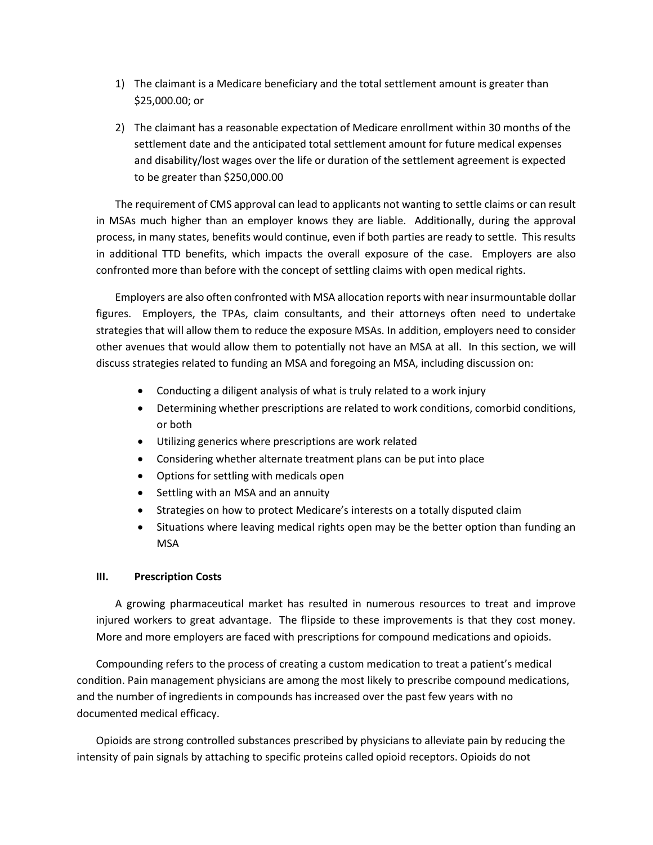- 1) The claimant is a Medicare beneficiary and the total settlement amount is greater than \$25,000.00; or
- 2) The claimant has a reasonable expectation of Medicare enrollment within 30 months of the settlement date and the anticipated total settlement amount for future medical expenses and disability/lost wages over the life or duration of the settlement agreement is expected to be greater than \$250,000.00

The requirement of CMS approval can lead to applicants not wanting to settle claims or can result in MSAs much higher than an employer knows they are liable. Additionally, during the approval process, in many states, benefits would continue, even if both parties are ready to settle. This results in additional TTD benefits, which impacts the overall exposure of the case. Employers are also confronted more than before with the concept of settling claims with open medical rights.

Employers are also often confronted with MSA allocation reports with near insurmountable dollar figures. Employers, the TPAs, claim consultants, and their attorneys often need to undertake strategies that will allow them to reduce the exposure MSAs. In addition, employers need to consider other avenues that would allow them to potentially not have an MSA at all. In this section, we will discuss strategies related to funding an MSA and foregoing an MSA, including discussion on:

- Conducting a diligent analysis of what is truly related to a work injury
- Determining whether prescriptions are related to work conditions, comorbid conditions, or both
- Utilizing generics where prescriptions are work related
- Considering whether alternate treatment plans can be put into place
- Options for settling with medicals open
- Settling with an MSA and an annuity
- Strategies on how to protect Medicare's interests on a totally disputed claim
- Situations where leaving medical rights open may be the better option than funding an MSA

## **III. Prescription Costs**

A growing pharmaceutical market has resulted in numerous resources to treat and improve injured workers to great advantage. The flipside to these improvements is that they cost money. More and more employers are faced with prescriptions for compound medications and opioids.

Compounding refers to the process of creating a custom medication to treat a patient's medical condition. Pain management physicians are among the most likely to prescribe compound medications, and the number of ingredients in compounds has increased over the past few years with no documented medical efficacy.

Opioids are strong controlled substances prescribed by physicians to alleviate pain by reducing the intensity of pain signals by attaching to specific proteins called opioid receptors. Opioids do not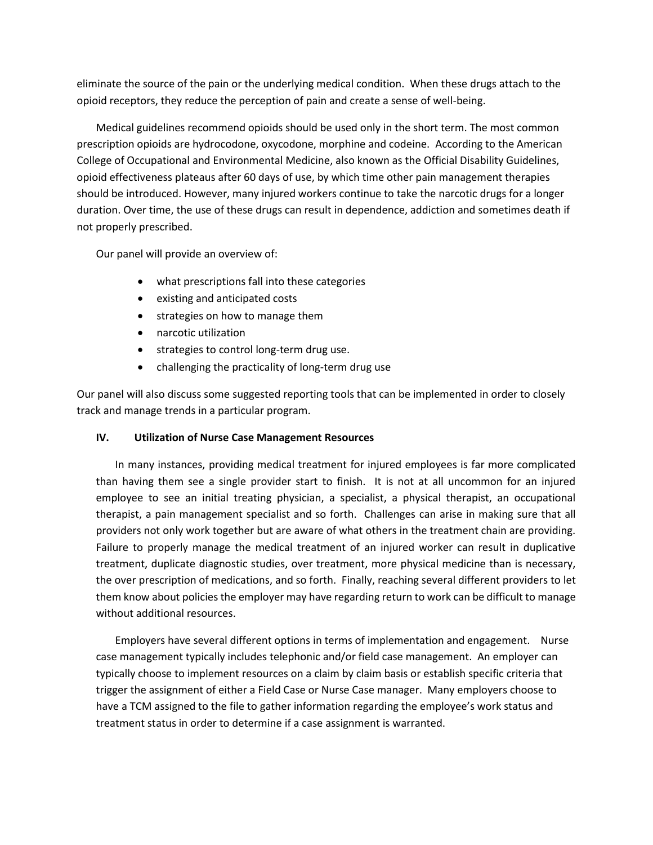eliminate the source of the pain or the underlying medical condition. When these drugs attach to the opioid receptors, they reduce the perception of pain and create a sense of well-being.

Medical guidelines recommend opioids should be used only in the short term. The most common prescription opioids are hydrocodone, oxycodone, morphine and codeine. According to the American College of Occupational and Environmental Medicine, also known as the Official Disability Guidelines, opioid effectiveness plateaus after 60 days of use, by which time other pain management therapies should be introduced. However, many injured workers continue to take the narcotic drugs for a longer duration. Over time, the use of these drugs can result in dependence, addiction and sometimes death if not properly prescribed.

Our panel will provide an overview of:

- what prescriptions fall into these categories
- existing and anticipated costs
- strategies on how to manage them
- narcotic utilization
- strategies to control long-term drug use.
- challenging the practicality of long-term drug use

Our panel will also discuss some suggested reporting tools that can be implemented in order to closely track and manage trends in a particular program.

## **IV. Utilization of Nurse Case Management Resources**

In many instances, providing medical treatment for injured employees is far more complicated than having them see a single provider start to finish. It is not at all uncommon for an injured employee to see an initial treating physician, a specialist, a physical therapist, an occupational therapist, a pain management specialist and so forth. Challenges can arise in making sure that all providers not only work together but are aware of what others in the treatment chain are providing. Failure to properly manage the medical treatment of an injured worker can result in duplicative treatment, duplicate diagnostic studies, over treatment, more physical medicine than is necessary, the over prescription of medications, and so forth. Finally, reaching several different providers to let them know about policies the employer may have regarding return to work can be difficult to manage without additional resources.

Employers have several different options in terms of implementation and engagement. Nurse case management typically includes telephonic and/or field case management. An employer can typically choose to implement resources on a claim by claim basis or establish specific criteria that trigger the assignment of either a Field Case or Nurse Case manager. Many employers choose to have a TCM assigned to the file to gather information regarding the employee's work status and treatment status in order to determine if a case assignment is warranted.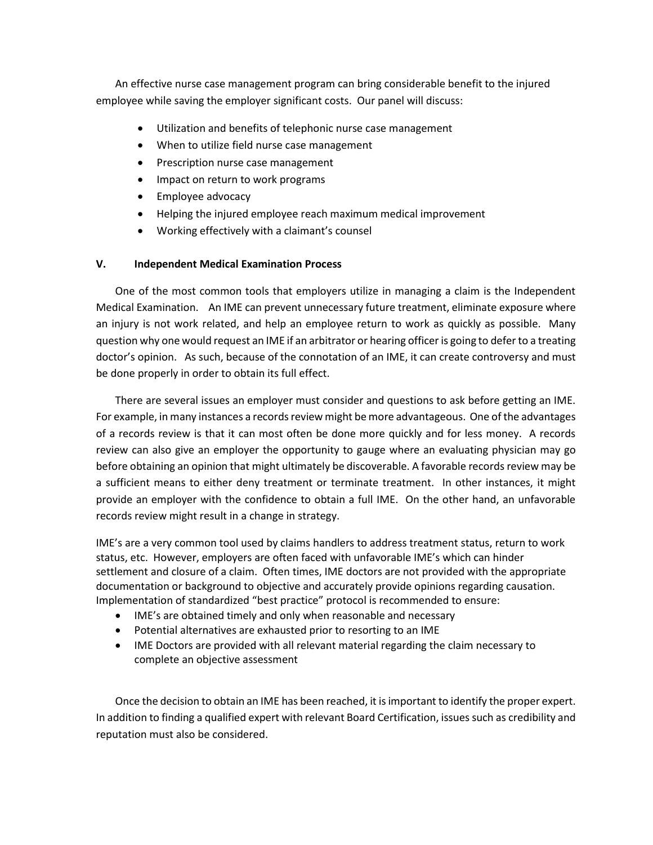An effective nurse case management program can bring considerable benefit to the injured employee while saving the employer significant costs. Our panel will discuss:

- Utilization and benefits of telephonic nurse case management
- When to utilize field nurse case management
- Prescription nurse case management
- Impact on return to work programs
- Employee advocacy
- Helping the injured employee reach maximum medical improvement
- Working effectively with a claimant's counsel

## **V. Independent Medical Examination Process**

One of the most common tools that employers utilize in managing a claim is the Independent Medical Examination. An IME can prevent unnecessary future treatment, eliminate exposure where an injury is not work related, and help an employee return to work as quickly as possible. Many question why one would request an IME if an arbitrator or hearing officer is going to defer to a treating doctor's opinion. As such, because of the connotation of an IME, it can create controversy and must be done properly in order to obtain its full effect.

There are several issues an employer must consider and questions to ask before getting an IME. For example, in many instances a records review might be more advantageous. One of the advantages of a records review is that it can most often be done more quickly and for less money. A records review can also give an employer the opportunity to gauge where an evaluating physician may go before obtaining an opinion that might ultimately be discoverable. A favorable records review may be a sufficient means to either deny treatment or terminate treatment. In other instances, it might provide an employer with the confidence to obtain a full IME. On the other hand, an unfavorable records review might result in a change in strategy.

IME's are a very common tool used by claims handlers to address treatment status, return to work status, etc. However, employers are often faced with unfavorable IME's which can hinder settlement and closure of a claim. Often times, IME doctors are not provided with the appropriate documentation or background to objective and accurately provide opinions regarding causation. Implementation of standardized "best practice" protocol is recommended to ensure:

- IME's are obtained timely and only when reasonable and necessary
- Potential alternatives are exhausted prior to resorting to an IME
- IME Doctors are provided with all relevant material regarding the claim necessary to complete an objective assessment

Once the decision to obtain an IME has been reached, it is important to identify the proper expert. In addition to finding a qualified expert with relevant Board Certification, issues such as credibility and reputation must also be considered.